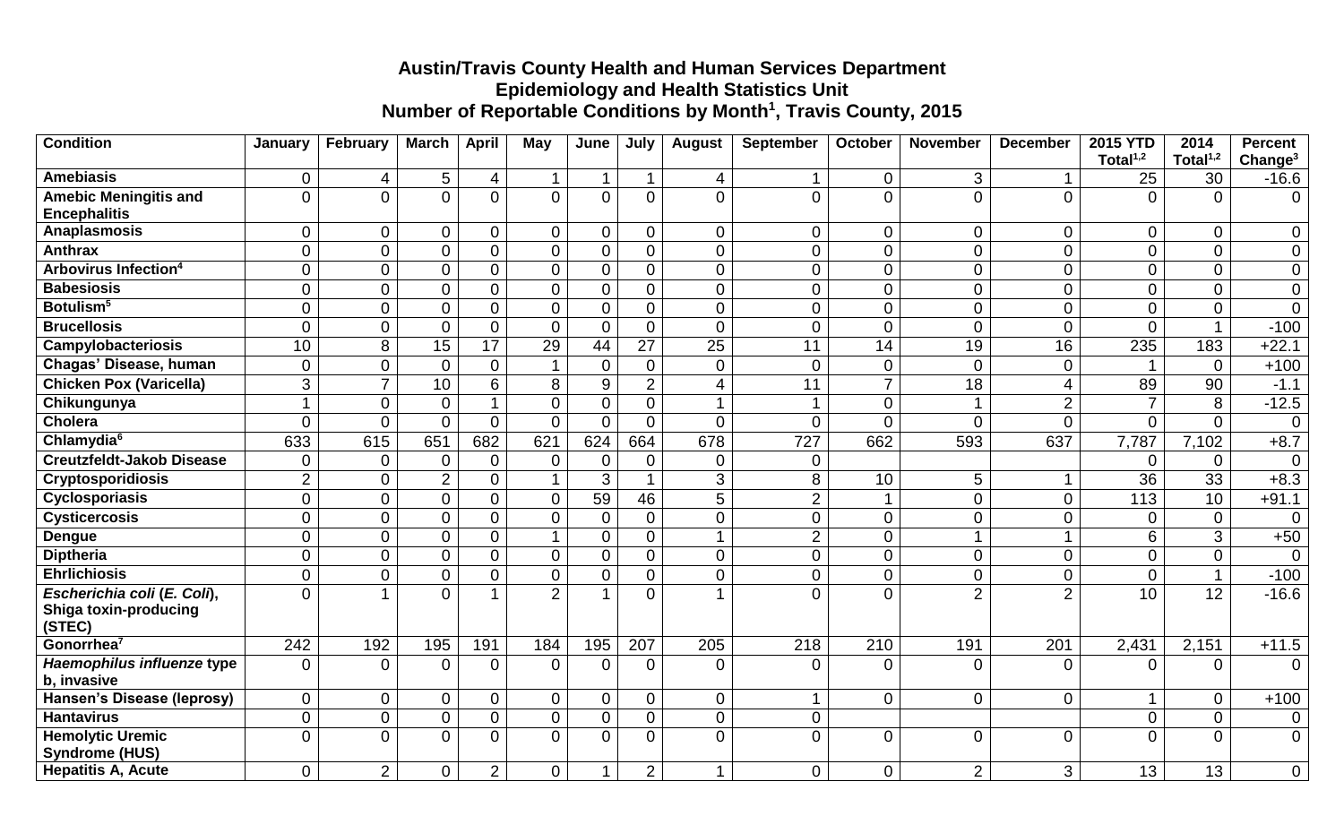## **Austin/Travis County Health and Human Services Department Epidemiology and Health Statistics Unit Number of Reportable Conditions by Month<sup>1</sup> , Travis County, 2015**

| <b>Condition</b>                                    | January        | February         | <b>March</b>     | <b>April</b>   | <b>May</b>              | June             | July           | <b>August</b>    | <b>September</b> | October        | <b>November</b>  | <b>December</b>  | <b>2015 YTD</b> | 2014            | <b>Percent</b>      |
|-----------------------------------------------------|----------------|------------------|------------------|----------------|-------------------------|------------------|----------------|------------------|------------------|----------------|------------------|------------------|-----------------|-----------------|---------------------|
|                                                     |                |                  |                  |                |                         |                  |                |                  |                  |                |                  |                  | Total $1,2$     | Total $1,2$     | Change <sup>3</sup> |
| <b>Amebiasis</b>                                    | 0              | 4                | 5                | 4              |                         | 1                | $\mathbf{1}$   | 4                |                  | $\mathbf 0$    | 3                |                  | 25              | 30              | $-16.6$             |
| <b>Amebic Meningitis and</b><br><b>Encephalitis</b> | $\Omega$       | $\mathbf{0}$     | $\overline{0}$   | $\overline{0}$ | $\mathbf 0$             | $\mathbf 0$      | $\overline{0}$ | $\mathbf 0$      | $\overline{0}$   | $\overline{0}$ | $\overline{0}$   | $\overline{0}$   | $\Omega$        | 0               | $\overline{0}$      |
| Anaplasmosis                                        | $\overline{0}$ | $\pmb{0}$        | $\mathsf 0$      | 0              | $\mathbf 0$             | $\mathbf 0$      | $\mathbf 0$    | $\pmb{0}$        | $\overline{0}$   | $\overline{0}$ | $\mathbf 0$      | $\mathbf 0$      | $\mathbf 0$     | 0               | $\overline{0}$      |
| <b>Anthrax</b>                                      | $\overline{0}$ | $\boldsymbol{0}$ | $\overline{0}$   | 0              | $\mathbf 0$             | $\mathbf 0$      | $\overline{0}$ | $\boldsymbol{0}$ | $\overline{0}$   | $\overline{0}$ | $\overline{0}$   | $\mathbf 0$      | $\overline{0}$  | 0               | $\overline{0}$      |
| Arbovirus Infection <sup>4</sup>                    | $\mathbf 0$    | $\mathbf 0$      | $\boldsymbol{0}$ | 0              | 0                       | $\mathbf 0$      | $\mathbf 0$    | $\mathbf 0$      | 0                | $\mathbf 0$    | $\mathbf 0$      | $\mathbf 0$      | $\mathbf 0$     | 0               | $\mathbf 0$         |
| <b>Babesiosis</b>                                   | $\mathbf 0$    | $\mathbf 0$      | $\mathbf 0$      | $\overline{0}$ | $\mathbf 0$             | $\pmb{0}$        | $\overline{0}$ | $\mathbf 0$      | $\overline{0}$   | $\mathbf 0$    | $\boldsymbol{0}$ | $\boldsymbol{0}$ | $\mathbf 0$     | 0               | $\pmb{0}$           |
| Botulism <sup>5</sup>                               | $\overline{0}$ | $\mathbf 0$      | $\mathbf 0$      | $\overline{0}$ | $\mathbf 0$             | $\pmb{0}$        | $\mathbf 0$    | $\mathbf 0$      | $\overline{0}$   | $\mathbf 0$    | $\overline{0}$   | $\pmb{0}$        | $\overline{0}$  | 0               | $\mathbf 0$         |
| <b>Brucellosis</b>                                  | $\overline{0}$ | $\mathbf 0$      | $\overline{0}$   | $\overline{0}$ | $\mathbf 0$             | $\mathbf 0$      | $\overline{0}$ | $\mathbf 0$      | $\overline{0}$   | $\overline{0}$ | $\overline{0}$   | $\mathbf 0$      | $\overline{0}$  | 1               | $-100$              |
| <b>Campylobacteriosis</b>                           | 10             | $\overline{8}$   | $\overline{15}$  | 17             | 29                      | 44               | 27             | $\overline{25}$  | 11               | 14             | $\overline{19}$  | 16               | 235             | 183             | $+22.1$             |
| Chagas' Disease, human                              | $\overline{0}$ | $\mathbf 0$      | $\mathbf 0$      | $\overline{0}$ | $\overline{\mathbf{1}}$ | $\mathbf 0$      | $\overline{0}$ | $\mathbf 0$      | $\overline{0}$   | $\mathbf 0$    | $\overline{0}$   | $\mathbf 0$      | -1              | $\Omega$        | $+100$              |
| <b>Chicken Pox (Varicella)</b>                      | 3              | $\overline{7}$   | 10               | 6              | 8                       | $\boldsymbol{9}$ | $\overline{2}$ | $\overline{4}$   | 11               | $\overline{7}$ | 18               | $\overline{4}$   | 89              | 90              | $-1.1$              |
| Chikungunya                                         | 1              | $\mathbf 0$      | $\overline{0}$   | 1              | $\overline{0}$          | $\mathbf 0$      | $\overline{0}$ | $\mathbf{1}$     | $\mathbf{1}$     | $\overline{0}$ | $\mathbf 1$      | $\overline{2}$   | $\overline{7}$  | 8               | $-12.5$             |
| <b>Cholera</b>                                      | $\overline{0}$ | $\mathbf 0$      | $\overline{0}$   | $\overline{0}$ | $\mathbf 0$             | $\mathbf{0}$     | $\overline{0}$ | $\mathbf{0}$     | $\overline{0}$   | $\Omega$       | $\overline{0}$   | $\mathbf{0}$     | $\overline{0}$  | 0               | $\overline{0}$      |
| Chlamydia <sup>6</sup>                              | 633            | 615              | 651              | 682            | 621                     | 624              | 664            | 678              | 727              | 662            | 593              | 637              | 7,787           | 7,102           | $+8.7$              |
| <b>Creutzfeldt-Jakob Disease</b>                    | $\overline{0}$ | $\mathbf{0}$     | $\overline{0}$   | $\overline{0}$ | $\overline{0}$          | $\overline{0}$   | $\mathbf 0$    | $\overline{0}$   | $\overline{0}$   |                |                  |                  | $\overline{0}$  | 0               | $\overline{0}$      |
| <b>Cryptosporidiosis</b>                            | $\overline{2}$ | $\pmb{0}$        | $\overline{2}$   | $\overline{0}$ | 1                       | 3                | $\mathbf{1}$   | $\mathfrak{B}$   | 8                | 10             | 5                |                  | 36              | 33              | $+8.3$              |
| Cyclosporiasis                                      | $\overline{0}$ | $\boldsymbol{0}$ | $\overline{0}$   | $\overline{0}$ | $\mathbf 0$             | 59               | 46             | $\overline{5}$   | $\overline{2}$   | $\mathbf{1}$   | $\overline{0}$   | $\pmb{0}$        | 113             | $\overline{10}$ | $+91.1$             |
| <b>Cysticercosis</b>                                | $\overline{0}$ | $\mathbf 0$      | $\mathbf 0$      | $\Omega$       | $\mathbf 0$             | $\mathbf 0$      | 0              | $\mathbf 0$      | $\overline{0}$   | $\mathbf 0$    | $\boldsymbol{0}$ | $\mathbf 0$      | $\mathbf 0$     | 0               | $\overline{0}$      |
| <b>Dengue</b>                                       | $\overline{0}$ | $\overline{0}$   | $\overline{0}$   | $\overline{0}$ | 1                       | $\mathbf 0$      | $\overline{0}$ | $\mathbf{1}$     | $\overline{2}$   | $\overline{0}$ | $\mathbf{1}$     | 1                | $6\phantom{a}$  | 3               | $+50$               |
| <b>Diptheria</b>                                    | $\overline{0}$ | $\mathbf 0$      | $\overline{0}$   | 0              | $\overline{0}$          | $\overline{0}$   | $\overline{0}$ | $\mathbf{0}$     | $\overline{0}$   | $\overline{0}$ | $\overline{0}$   | $\mathbf 0$      | $\overline{0}$  | 0               | $\mathbf 0$         |
| <b>Ehrlichiosis</b>                                 | $\overline{0}$ | $\mathbf 0$      | $\mathbf 0$      | $\overline{0}$ | $\overline{0}$          | $\mathbf 0$      | $\overline{0}$ | $\boldsymbol{0}$ | $\overline{0}$   | $\overline{0}$ | $\mathbf 0$      | $\boldsymbol{0}$ | $\overline{0}$  | 1               | $-100$              |
| Escherichia coli (E. Coli),                         | $\Omega$       | 1                | $\overline{0}$   |                | $\overline{2}$          |                  | $\overline{0}$ | $\overline{A}$   | $\Omega$         | $\Omega$       | $\overline{2}$   | $\overline{2}$   | 10              | 12              | $-16.6$             |
| <b>Shiga toxin-producing</b><br>(STEC)              |                |                  |                  |                |                         |                  |                |                  |                  |                |                  |                  |                 |                 |                     |
| Gonorrhea <sup>7</sup>                              | 242            | 192              | 195              | 191            | 184                     | 195              | 207            | 205              | 218              | 210            | 191              | 201              | 2,431           | 2,151           | $+11.5$             |
| Haemophilus influenze type                          | $\Omega$       | $\overline{0}$   | 0                | $\Omega$       | $\Omega$                | $\Omega$         | $\Omega$       | $\Omega$         | $\Omega$         | $\Omega$       | $\Omega$         | $\Omega$         | $\Omega$        | $\overline{0}$  | $\Omega$            |
| b, invasive                                         |                |                  |                  |                |                         |                  |                |                  |                  |                |                  |                  |                 |                 |                     |
| Hansen's Disease (leprosy)                          | $\overline{0}$ | $\mathbf 0$      | 0                | 0              | $\mathbf 0$             | $\mathbf 0$      | $\mathbf 0$    | $\mathbf 0$      | $\mathbf 1$      | $\mathbf 0$    | $\mathbf 0$      | $\mathbf 0$      | 1               | 0               | $+100$              |
| <b>Hantavirus</b>                                   | $\mathbf 0$    | $\mathbf 0$      | $\mathbf 0$      | $\mathbf 0$    | $\mathbf 0$             | $\pmb{0}$        | $\mathsf{O}$   | $\pmb{0}$        | $\boldsymbol{0}$ |                |                  |                  | $\mathbf 0$     | 0               | $\mathbf 0$         |
| <b>Hemolytic Uremic</b><br><b>Syndrome (HUS)</b>    | $\Omega$       | $\mathbf 0$      | $\overline{0}$   | $\overline{0}$ | $\mathbf 0$             | $\mathbf 0$      | $\overline{0}$ | $\mathbf 0$      | $\overline{0}$   | $\overline{0}$ | $\overline{0}$   | $\overline{0}$   | $\overline{0}$  | $\overline{0}$  | $\overline{0}$      |
| <b>Hepatitis A, Acute</b>                           | $\overline{0}$ | $\overline{2}$   | $\overline{0}$   | 2              | $\overline{0}$          | 1                | $\overline{2}$ | 1                | $\overline{0}$   | $\overline{0}$ | $\overline{2}$   | 3                | 13              | 13              | $\overline{0}$      |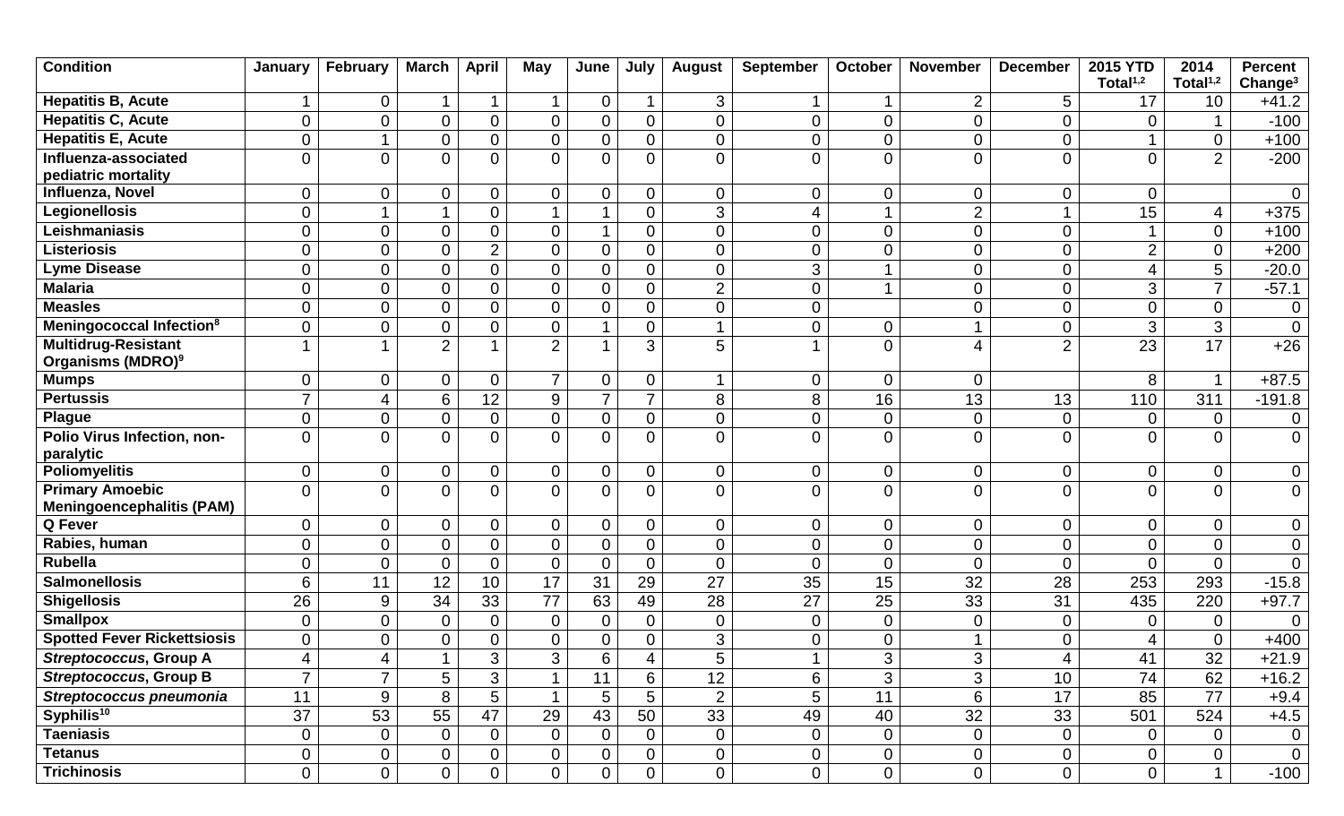| <b>Condition</b>                                           | January          | February         | <b>March</b>    | <b>April</b>   | <b>May</b>     | June             | July                          | <b>August</b>    | September        | October          | <b>November</b>     | <b>December</b> | <b>2015 YTD</b> | 2014            | <b>Percent</b>      |
|------------------------------------------------------------|------------------|------------------|-----------------|----------------|----------------|------------------|-------------------------------|------------------|------------------|------------------|---------------------|-----------------|-----------------|-----------------|---------------------|
|                                                            |                  |                  |                 |                |                |                  |                               |                  |                  |                  |                     |                 | Total $1,2$     | Total $1,2$     | Change <sup>3</sup> |
| <b>Hepatitis B, Acute</b>                                  |                  | $\mathbf 0$      | $\mathbf{1}$    | 1              | $\mathbf 1$    | $\mathbf 0$      |                               | 3                |                  | $\mathbf 1$      | $\overline{2}$      | 5               | 17              | 10              | $+41.2$             |
| <b>Hepatitis C, Acute</b>                                  | $\boldsymbol{0}$ | $\mathbf 0$      | $\mathbf 0$     | 0              | $\mathsf{O}$   | $\boldsymbol{0}$ | $\mathbf 0$                   | $\mathsf 0$      | $\boldsymbol{0}$ | $\pmb{0}$        | $\mathbf 0$         | $\overline{0}$  | $\Omega$        |                 | $-100$              |
| <b>Hepatitis E, Acute</b>                                  | $\overline{0}$   | $\overline{1}$   | $\mathbf 0$     | $\overline{0}$ | $\overline{0}$ | $\overline{0}$   | $\mathbf 0$                   | $\mathsf{O}$     | $\overline{0}$   | $\boldsymbol{0}$ | 0                   | $\overline{0}$  |                 | $\mathbf 0$     | $+100$              |
| Influenza-associated                                       | $\overline{0}$   | $\overline{0}$   | $\overline{0}$  | 0              | $\overline{0}$ | $\mathbf 0$      | $\overline{0}$                | $\overline{0}$   | $\overline{0}$   | $\mathbf 0$      | $\overline{0}$      | $\overline{0}$  | $\Omega$        | $\overline{2}$  | $-200$              |
| pediatric mortality<br>Influenza, Novel                    | 0                | $\pmb{0}$        | $\mathbf 0$     | 0              | 0              | $\mathbf 0$      |                               |                  | $\mathbf 0$      | $\overline{0}$   |                     | $\mathbf 0$     | $\overline{0}$  |                 | $\mathbf 0$         |
| <b>Legionellosis</b>                                       | $\boldsymbol{0}$ | $\mathbf 1$      | $\mathbf{1}$    | 0              | $\mathbf{1}$   | 1                | $\mathbf 0$<br>$\overline{0}$ | 0<br>3           | 4                | $\mathbf 1$      | 0<br>$\overline{2}$ |                 | 15              | 4               | $+375$              |
| Leishmaniasis                                              | $\boldsymbol{0}$ | $\boldsymbol{0}$ | $\pmb{0}$       | 0              | $\overline{0}$ | 1                | $\mathbf 0$                   | $\mathbf 0$      | $\mathbf 0$      | $\mathbf 0$      | $\boldsymbol{0}$    | $\mathbf 0$     |                 | $\overline{0}$  | $+100$              |
| <b>Listeriosis</b>                                         | $\boldsymbol{0}$ | $\boldsymbol{0}$ | $\pmb{0}$       | $\overline{2}$ | 0              | $\mathbf 0$      | $\overline{0}$                | 0                | $\mathbf 0$      | $\pmb{0}$        | $\mathbf 0$         | $\mathbf 0$     | $\overline{2}$  | $\mathbf 0$     | $+200$              |
| <b>Lyme Disease</b>                                        | 0                | $\mathbf 0$      | $\overline{0}$  | $\overline{0}$ | $\overline{0}$ | $\overline{0}$   | $\overline{0}$                | $\boldsymbol{0}$ | 3                | 1                | 0                   | $\mathbf 0$     | 4               | 5               | $-20.0$             |
| <b>Malaria</b>                                             | 0                | $\boldsymbol{0}$ | $\pmb{0}$       | $\overline{0}$ | $\overline{0}$ | $\mathbf 0$      | $\overline{0}$                | $\overline{2}$   | 0                | $\overline{A}$   | $\mathbf 0$         | $\mathbf 0$     | 3               | $\overline{7}$  | $-57.1$             |
| <b>Measles</b>                                             | $\overline{0}$   | $\boldsymbol{0}$ | $\pmb{0}$       | $\overline{0}$ | $\overline{0}$ | $\mathbf 0$      | $\overline{0}$                | $\mathbf 0$      | $\overline{0}$   |                  | $\mathbf 0$         | $\mathbf 0$     | $\overline{0}$  | $\overline{0}$  |                     |
| Meningococcal Infection <sup>8</sup>                       |                  |                  |                 |                |                | $\overline{A}$   |                               |                  |                  |                  | 1                   |                 |                 |                 | $\overline{0}$      |
|                                                            | $\mathsf 0$      | $\pmb{0}$<br>1   | $\pmb{0}$       | $\overline{0}$ | $\mathbf 0$    |                  | $\overline{0}$                | $\mathbf{1}$     | $\mathbf 0$      | $\pmb{0}$        |                     | $\mathbf 0$     | $\mathbf{3}$    | 3               | $\mathbf 0$         |
| Multidrug-Resistant<br>Organisms (MDRO) <sup>9</sup>       |                  |                  | $\overline{2}$  |                | $\overline{2}$ |                  | 3                             | 5                |                  | $\mathbf 0$      | 4                   | $\overline{2}$  | 23              | $\overline{17}$ | $+26$               |
| <b>Mumps</b>                                               | $\mathbf 0$      | $\mathbf 0$      | $\mathbf 0$     | 0              | $\overline{7}$ | $\mathbf 0$      | $\overline{0}$                | 1                | $\overline{0}$   | $\mathbf 0$      | $\mathbf 0$         |                 | 8               | $\mathbf 1$     | $+87.5$             |
| <b>Pertussis</b>                                           | $\overline{7}$   | $\overline{4}$   | 6               | 12             | 9              | $\overline{7}$   | $\overline{7}$                | 8                | 8                | 16               | 13                  | 13              | 110             | 311             | $-191.8$            |
| <b>Plague</b>                                              | $\mathbf 0$      | $\boldsymbol{0}$ | $\pmb{0}$       | 0              | $\mathbf 0$    | $\mathbf 0$      | $\mathbf 0$                   | 0                | $\boldsymbol{0}$ | $\mathbf 0$      | $\mathbf 0$         | $\mathbf 0$     | $\overline{0}$  | $\mathbf 0$     | $\overline{0}$      |
| Polio Virus Infection, non-<br>paralytic                   | 0                | $\overline{0}$   | $\Omega$        | 0              | $\Omega$       | $\Omega$         | $\Omega$                      | $\overline{0}$   | $\Omega$         | $\mathbf{0}$     | $\Omega$            | $\Omega$        | $\Omega$        | $\Omega$        | $\overline{0}$      |
| <b>Poliomyelitis</b>                                       | $\boldsymbol{0}$ | $\mathbf 0$      | $\mathbf 0$     | 0              | $\overline{0}$ | $\overline{0}$   | $\overline{0}$                | $\mathbf 0$      | $\mathbf 0$      | $\pmb{0}$        | $\mathbf 0$         | $\mathbf 0$     | $\mathbf 0$     | $\mathbf 0$     | 0                   |
| <b>Primary Amoebic</b><br><b>Meningoencephalitis (PAM)</b> | $\overline{0}$   | $\overline{0}$   | $\overline{0}$  | 0              | $\overline{0}$ | $\overline{0}$   | $\overline{0}$                | $\overline{0}$   | $\overline{0}$   | $\overline{0}$   | $\Omega$            | $\Omega$        | $\Omega$        | $\Omega$        | $\overline{0}$      |
| Q Fever                                                    | $\mathbf 0$      | $\mathbf 0$      | $\mathbf 0$     | 0              | $\mathbf 0$    | $\mathbf 0$      | $\overline{0}$                | 0                | $\overline{0}$   | $\overline{0}$   | $\mathbf 0$         | $\mathbf 0$     | $\overline{0}$  | $\mathbf 0$     | $\mathbf 0$         |
| Rabies, human                                              | $\boldsymbol{0}$ | $\boldsymbol{0}$ | $\pmb{0}$       | 0              | $\mathbf 0$    | $\boldsymbol{0}$ | $\overline{0}$                | $\mathbf 0$      | $\boldsymbol{0}$ | $\pmb{0}$        | 0                   | $\mathbf 0$     | $\overline{0}$  | $\overline{0}$  | $\overline{0}$      |
| <b>Rubella</b>                                             | $\overline{0}$   | $\mathbf 0$      | $\mathbf 0$     | $\overline{0}$ | $\overline{0}$ | $\mathbf 0$      | $\overline{0}$                | $\mathbf 0$      | $\overline{0}$   | $\boldsymbol{0}$ | $\Omega$            | $\mathbf{0}$    | $\Omega$        | $\Omega$        | $\mathbf 0$         |
| <b>Salmonellosis</b>                                       | 6                | 11               | $\overline{12}$ | 10             | 17             | 31               | 29                            | 27               | 35               | 15               | 32                  | 28              | 253             | 293             | $-15.8$             |
| <b>Shigellosis</b>                                         | 26               | 9                | 34              | 33             | 77             | 63               | 49                            | 28               | 27               | 25               | $\overline{33}$     | $\overline{31}$ | 435             | 220             | $+97.7$             |
| <b>Smallpox</b>                                            | $\mathbf 0$      | $\mathbf 0$      | $\pmb{0}$       | $\overline{0}$ | $\mathbf 0$    | $\mathbf 0$      | $\overline{0}$                | $\boldsymbol{0}$ | $\mathbf 0$      | $\pmb{0}$        | $\mathbf 0$         | $\overline{0}$  | $\overline{0}$  | $\Omega$        | $\mathbf 0$         |
| <b>Spotted Fever Rickettsiosis</b>                         | $\mathbf 0$      | $\overline{0}$   | $\mathbf 0$     | 0              | $\mathbf 0$    | $\mathbf 0$      | $\overline{0}$                | 3                | $\overline{0}$   | $\mathbf 0$      |                     | $\overline{0}$  | 4               | $\overline{0}$  | $+400$              |
| Streptococcus, Group A                                     | 4                | 4                | $\mathbf 1$     | 3              | 3              | 6                | 4                             | 5                |                  | 3                | 3                   | 4               | 41              | 32              | $+21.9$             |
| <b>Streptococcus, Group B</b>                              | $\overline{7}$   | $\overline{7}$   | $\overline{5}$  | $\overline{3}$ | $\mathbf 1$    | $\overline{11}$  | $6\phantom{1}$                | 12               | 6                | $\overline{3}$   | 3                   | 10 <sup>°</sup> | 74              | 62              | $+16.2$             |
| Streptococcus pneumonia                                    | 11               | 9                | 8               | 5              |                | 5                | 5                             | $\overline{2}$   | 5                | 11               | 6                   | 17              | 85              | 77              | $+9.4$              |
| Syphilis <sup>10</sup>                                     | 37               | 53               | 55              | 47             | 29             | 43               | 50                            | 33               | 49               | 40               | 32                  | 33              | 501             | 524             | $+4.5$              |
| Taeniasis                                                  | $\mathbf 0$      | $\overline{0}$   | $\overline{0}$  | $\overline{0}$ | $\overline{0}$ | $\overline{0}$   | $\overline{0}$                | $\overline{0}$   | $\mathbf 0$      | $\overline{0}$   | $\mathbf 0$         | $\overline{0}$  | $\overline{0}$  | $\overline{0}$  | $\overline{0}$      |
| Tetanus                                                    | 0                | $\mathbf 0$      | $\overline{0}$  | 0              | $\overline{0}$ | $\overline{0}$   | $\overline{0}$                | $\overline{0}$   | $\mathbf 0$      | $\overline{0}$   | $\overline{0}$      | $\overline{0}$  | $\overline{0}$  | $\overline{0}$  | $\overline{0}$      |
| <b>Trichinosis</b>                                         | $\overline{0}$   | $\overline{0}$   | $\overline{0}$  | $\overline{0}$ | $\overline{0}$ | $\overline{0}$   | $\overline{0}$                | $\overline{0}$   | $\overline{0}$   | $\overline{0}$   | $\overline{0}$      | $\overline{0}$  | $\overline{0}$  | $\mathbf{1}$    | $-100$              |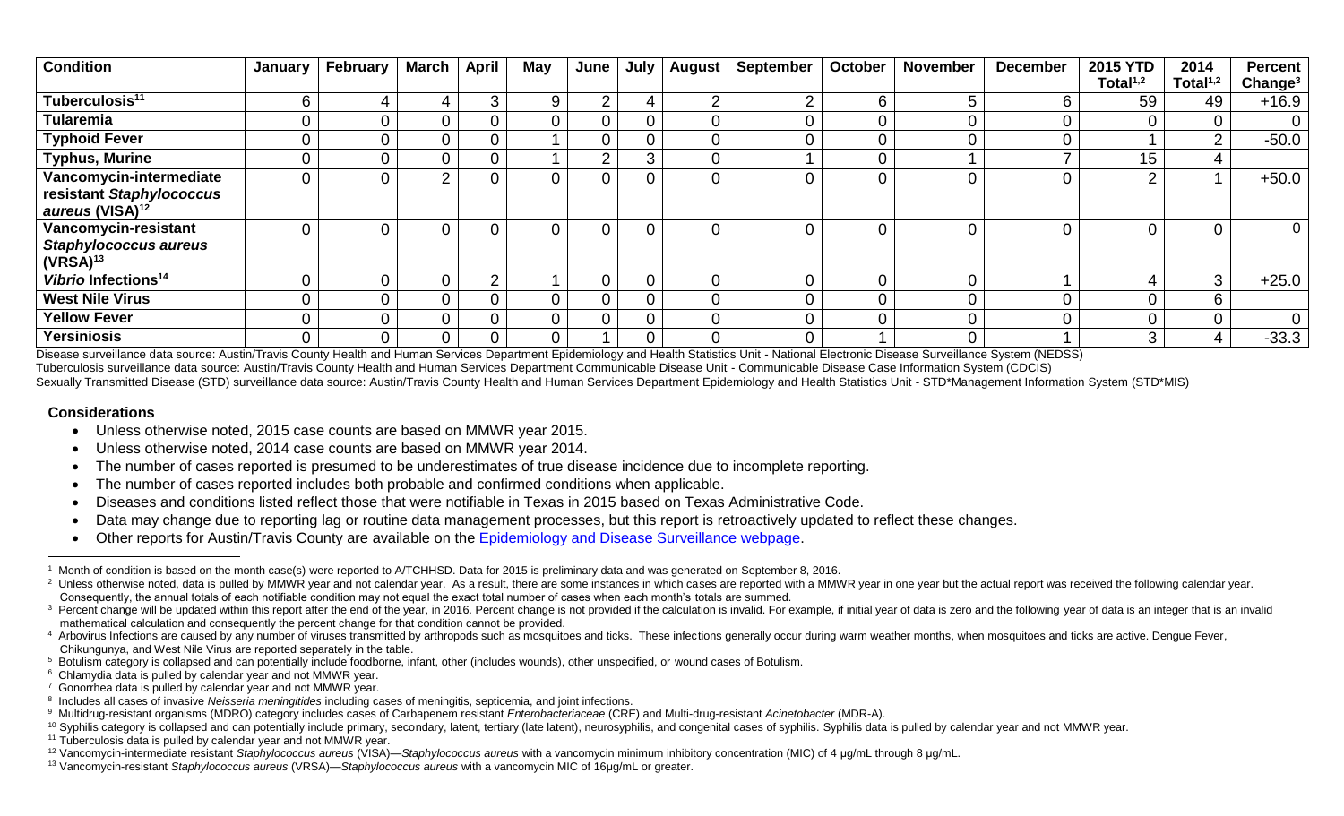| <b>Condition</b>                | January | <b>February</b> | <b>March</b>   | April | May            | June     | July           | August | <b>September</b> | <b>October</b> | <b>November</b> | <b>December</b> | <b>2015 YTD</b> | 2014        | <b>Percent</b>      |
|---------------------------------|---------|-----------------|----------------|-------|----------------|----------|----------------|--------|------------------|----------------|-----------------|-----------------|-----------------|-------------|---------------------|
|                                 |         |                 |                |       |                |          |                |        |                  |                |                 |                 | Total $1,2$     | Total $1,2$ | Change <sup>3</sup> |
| Tuberculosis <sup>11</sup>      | հ       | 4               | 4              | 3     | 9              | $\Omega$ | 4              | C      | $\sim$           | 6.             |                 | 6               | 59              | 49          | $+16.9$             |
| <b>Tularemia</b>                |         | $\overline{0}$  | 0              |       | $\overline{0}$ | 0        | $\mathbf 0$    |        |                  |                |                 |                 |                 |             |                     |
| <b>Typhoid Fever</b>            |         | $\mathbf 0$     | 0              |       |                | 0        | 0              |        |                  |                |                 |                 |                 | ⌒           | $-50.0$             |
| <b>Typhus, Murine</b>           |         | $\mathbf 0$     | $\overline{0}$ |       |                | ⌒        | 3              |        |                  |                |                 |                 | 15              | 4           |                     |
| Vancomycin-intermediate         |         | $\overline{0}$  | 2              |       | $\overline{0}$ | 0        | $\overline{0}$ |        |                  |                |                 |                 | $\Omega$        |             | $+50.0$             |
| resistant Staphylococcus        |         |                 |                |       |                |          |                |        |                  |                |                 |                 |                 |             |                     |
| aureus (VISA) <sup>12</sup>     |         |                 |                |       |                |          |                |        |                  |                |                 |                 |                 |             |                     |
| Vancomycin-resistant            |         | $\Omega$        | $\Omega$       |       | $\Omega$       | 0        | 0              |        |                  |                |                 |                 |                 |             | $\overline{0}$      |
| <b>Staphylococcus aureus</b>    |         |                 |                |       |                |          |                |        |                  |                |                 |                 |                 |             |                     |
| $(VRSA)^{13}$                   |         |                 |                |       |                |          |                |        |                  |                |                 |                 |                 |             |                     |
| Vibrio Infections <sup>14</sup> |         | $\overline{0}$  | 0              | ◠     |                | 0        | 0              |        |                  |                |                 |                 |                 | 3           | $+25.0$             |
| <b>West Nile Virus</b>          |         | $\mathbf 0$     | $\Omega$       |       | $\Omega$       | 0        | 0              |        |                  |                |                 |                 |                 | 6           |                     |
| <b>Yellow Fever</b>             |         | $\mathbf 0$     | $\overline{0}$ |       | $\overline{0}$ | 0        | 0              |        |                  |                |                 |                 |                 |             | 0                   |
| <b>Yersiniosis</b>              |         | $\overline{0}$  | $\overline{0}$ |       | $\Omega$       |          | $\overline{0}$ | 0      |                  |                |                 |                 | 3               | 4           | $-33.3$             |

Disease surveillance data source: Austin/Travis County Health and Human Services Department Epidemiology and Health Statistics Unit - National Electronic Disease Surveillance System (NEDSS) Tuberculosis surveillance data source: Austin/Travis County Health and Human Services Department Communicable Disease Unit - Communicable Disease Case Information System (CDCIS) Sexually Transmitted Disease (STD) surveillance data source: Austin/Travis County Health and Human Services Department Epidemiology and Health Statistics Unit - STD\*Management Information System (STD\*MIS)

## **Considerations**

 $\overline{a}$ 

- Unless otherwise noted, 2015 case counts are based on MMWR year 2015.
- Unless otherwise noted, 2014 case counts are based on MMWR year 2014.
- The number of cases reported is presumed to be underestimates of true disease incidence due to incomplete reporting.
- The number of cases reported includes both probable and confirmed conditions when applicable.
- Diseases and conditions listed reflect those that were notifiable in Texas in 2015 based on Texas Administrative Code.
- Data may change due to reporting lag or routine data management processes, but this report is retroactively updated to reflect these changes.
- Other reports for Austin/Travis County are available on the [Epidemiology and Disease Surveillance webpage.](http://www.austintexas.gov/department/epidemiology-and-disease-surveillance)

<sup>&</sup>lt;sup>1</sup> Month of condition is based on the month case(s) were reported to A/TCHHSD. Data for 2015 is preliminary data and was generated on September 8, 2016.

<sup>&</sup>lt;sup>2</sup> Unless otherwise noted, data is pulled by MMWR year and not calendar year. As a result, there are some instances in which cases are reported with a MMWR year in one year but the actual report was received the following Consequently, the annual totals of each notifiable condition may not equal the exact total number of cases when each month's totals are summed.

<sup>&</sup>lt;sup>3</sup> Percent change will be updated within this report after the end of the year, in 2016. Percent change is not provided if the calculation is invalid. For example, if initial year of data is zero and the following year of mathematical calculation and consequently the percent change for that condition cannot be provided.

<sup>4</sup> Arbovirus Infections are caused by any number of viruses transmitted by arthropods such as mosquitoes and ticks. These infections generally occur during warm weather months, when mosquitoes and ticks are active. Dengue F Chikungunya, and West Nile Virus are reported separately in the table.

<sup>&</sup>lt;sup>5</sup> Botulism category is collapsed and can potentially include foodborne, infant, other (includes wounds), other unspecified, or wound cases of Botulism.

<sup>&</sup>lt;sup>6</sup> Chlamydia data is pulled by calendar year and not MMWR year.

<sup>&</sup>lt;sup>7</sup> Gonorrhea data is pulled by calendar year and not MMWR year.

<sup>8</sup> Includes all cases of invasive *Neisseria meningitides* including cases of meningitis, septicemia, and joint infections.

<sup>9</sup> Multidrug-resistant organisms (MDRO) category includes cases of Carbapenem resistant *Enterobacteriaceae* (CRE) and Multi-drug-resistant *Acinetobacter* (MDR-A).

<sup>&</sup>lt;sup>10</sup> Syphilis category is collapsed and can potentially include primary, secondary, latent, tertiary (late latent), neurosyphilis, and congenital cases of syphilis. Syphilis data is pulled by calendar year and not MMWR yea

 $11$  Tuberculosis data is pulled by calendar year and not MMWR year.

<sup>12</sup> Vancomycin-intermediate resistant *Staphylococcus aureus* (VISA)—*Staphylococcus aureus* with a vancomycin minimum inhibitory concentration (MIC) of 4 μg/mL through 8 μg/mL.

<sup>13</sup> Vancomycin-resistant *Staphylococcus aureus* (VRSA)—*Staphylococcus aureus* with a vancomycin MIC of 16μg/mL or greater.